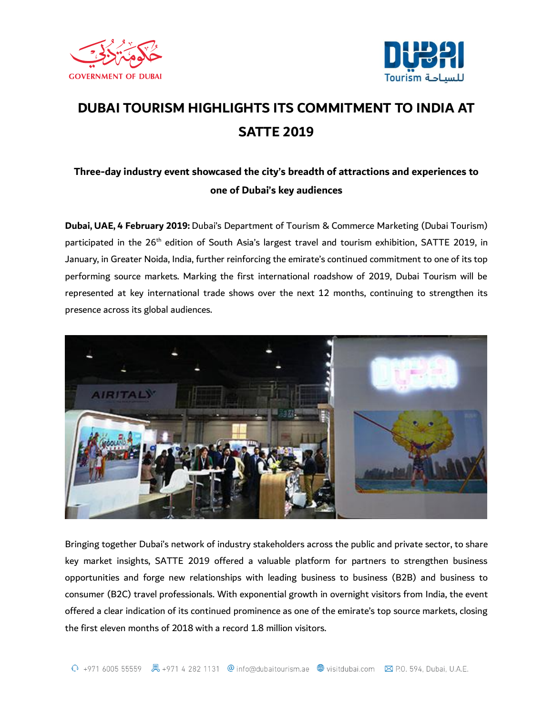



## **DUBAI TOURISM HIGHLIGHTS ITS COMMITMENT TO INDIA AT SATTE 2019**

## **Three-day industry event showcased the city's breadth of attractions and experiences to one of Dubai's key audiences**

**Dubai, UAE, 4 February 2019:** Dubai's Department of Tourism & Commerce Marketing (Dubai Tourism) participated in the 26<sup>th</sup> edition of South Asia's largest travel and tourism exhibition, SATTE 2019, in January, in Greater Noida, India, further reinforcing the emirate's continued commitment to one of its top performing source markets. Marking the first international roadshow of 2019, Dubai Tourism will be represented at key international trade shows over the next 12 months, continuing to strengthen its presence across its global audiences.



Bringing together Dubai's network of industry stakeholders across the public and private sector, to share key market insights, SATTE 2019 offered a valuable platform for partners to strengthen business opportunities and forge new relationships with leading business to business (B2B) and business to consumer (B2C) travel professionals. With exponential growth in overnight visitors from India, the event offered a clear indication of its continued prominence as one of the emirate's top source markets, closing the first eleven months of 2018 with a record 1.8 million visitors.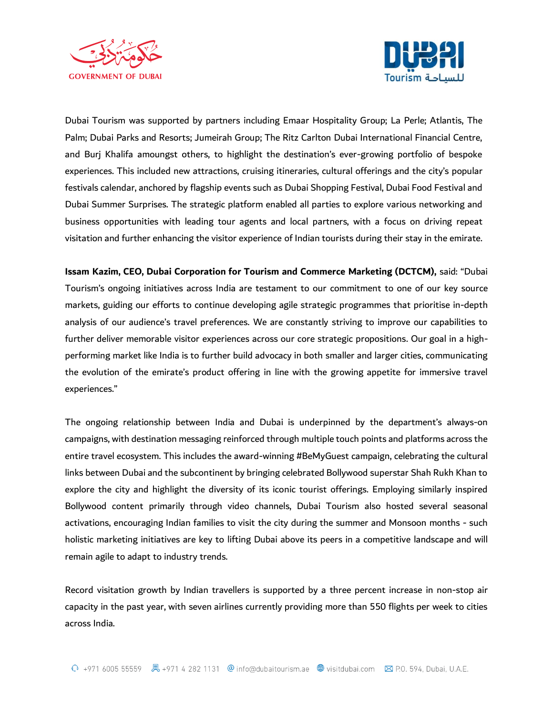



Dubai Tourism was supported by partners including Emaar Hospitality Group; La Perle; Atlantis, The Palm; Dubai Parks and Resorts; Jumeirah Group; The Ritz Carlton Dubai International Financial Centre, and Burj Khalifa amoungst others, to highlight the destination's ever-growing portfolio of bespoke experiences. This included new attractions, cruising itineraries, cultural offerings and the city's popular festivals calendar, anchored by flagship events such as Dubai Shopping Festival, Dubai Food Festival and Dubai Summer Surprises. The strategic platform enabled all parties to explore various networking and business opportunities with leading tour agents and local partners, with a focus on driving repeat visitation and further enhancing the visitor experience of Indian tourists during their stay in the emirate.

**Issam Kazim, CEO, Dubai Corporation for Tourism and Commerce Marketing (DCTCM),** said: "Dubai Tourism's ongoing initiatives across India are testament to our commitment to one of our key source markets, guiding our efforts to continue developing agile strategic programmes that prioritise in-depth analysis of our audience's travel preferences. We are constantly striving to improve our capabilities to further deliver memorable visitor experiences across our core strategic propositions. Our goal in a highperforming market like India is to further build advocacy in both smaller and larger cities, communicating the evolution of the emirate's product offering in line with the growing appetite for immersive travel experiences."

The ongoing relationship between India and Dubai is underpinned by the department's always-on campaigns, with destination messaging reinforced through multiple touch points and platforms across the entire travel ecosystem. This includes the award-winning #BeMyGuest campaign, celebrating the cultural links between Dubai and the subcontinent by bringing celebrated Bollywood superstar Shah Rukh Khan to explore the city and highlight the diversity of its iconic tourist offerings. Employing similarly inspired Bollywood content primarily through video channels, Dubai Tourism also hosted several seasonal activations, encouraging Indian families to visit the city during the summer and Monsoon months - such holistic marketing initiatives are key to lifting Dubai above its peers in a competitive landscape and will remain agile to adapt to industry trends.

Record visitation growth by Indian travellers is supported by a three percent increase in non-stop air capacity in the past year, with seven airlines currently providing more than 550 flights per week to cities across India.